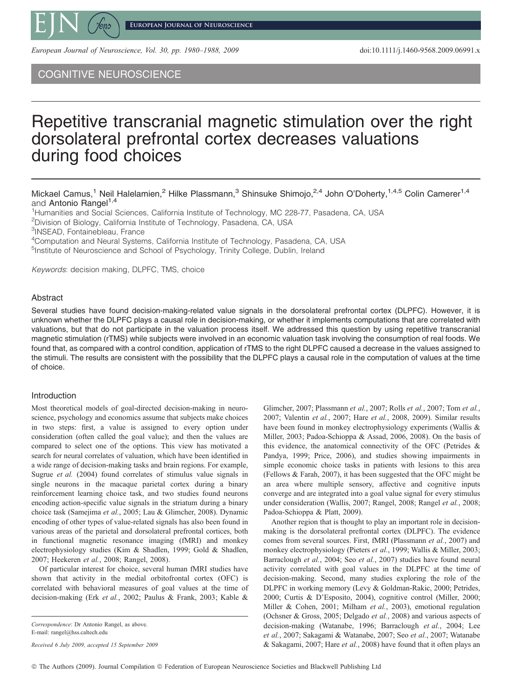European Journal of Neuroscience, Vol. 30, pp. 1980–1988, 2009 doi:10.1111/j.1460-9568.2009.06991.x

## COGNITIVE NEUROSCIENCE

# Repetitive transcranial magnetic stimulation over the right dorsolateral prefrontal cortex decreases valuations during food choices

Mickael Camus,<sup>1</sup> Neil Halelamien,<sup>2</sup> Hilke Plassmann,<sup>3</sup> Shinsuke Shimoio,<sup>2,4</sup> John O'Doherty,<sup>1,4,5</sup> Colin Camerer<sup>1,4</sup> and Antonio Rangel<sup>1,4</sup>

<sup>1</sup>Humanities and Social Sciences, California Institute of Technology, MC 228-77, Pasadena, CA, USA <sup>2</sup>Division of Biology, California Institute of Technology, Pasadena, CA, USA

3 INSEAD, Fontainebleau, France

<sup>4</sup>Computation and Neural Systems, California Institute of Technology, Pasadena, CA, USA

<sup>5</sup>Institute of Neuroscience and School of Psychology, Trinity College, Dublin, Ireland

Keywords: decision making, DLPFC, TMS, choice

## Abstract

Several studies have found decision-making-related value signals in the dorsolateral prefrontal cortex (DLPFC). However, it is unknown whether the DLPFC plays a causal role in decision-making, or whether it implements computations that are correlated with valuations, but that do not participate in the valuation process itself. We addressed this question by using repetitive transcranial magnetic stimulation (rTMS) while subjects were involved in an economic valuation task involving the consumption of real foods. We found that, as compared with a control condition, application of rTMS to the right DLPFC caused a decrease in the values assigned to the stimuli. The results are consistent with the possibility that the DLPFC plays a causal role in the computation of values at the time of choice.

## Introduction

Most theoretical models of goal-directed decision-making in neuroscience, psychology and economics assume that subjects make choices in two steps: first, a value is assigned to every option under consideration (often called the goal value); and then the values are compared to select one of the options. This view has motivated a search for neural correlates of valuation, which have been identified in a wide range of decision-making tasks and brain regions. For example, Sugrue et al. (2004) found correlates of stimulus value signals in single neurons in the macaque parietal cortex during a binary reinforcement learning choice task, and two studies found neurons encoding action-specific value signals in the striatum during a binary choice task (Samejima et al., 2005; Lau & Glimcher, 2008). Dynamic encoding of other types of value-related signals has also been found in various areas of the parietal and dorsolateral prefrontal cortices, both in functional magnetic resonance imaging (fMRI) and monkey electrophysiology studies (Kim & Shadlen, 1999; Gold & Shadlen, 2007; Heekeren et al., 2008; Rangel, 2008).

Of particular interest for choice, several human fMRI studies have shown that activity in the medial orbitofrontal cortex (OFC) is correlated with behavioral measures of goal values at the time of decision-making (Erk et al., 2002; Paulus & Frank, 2003; Kable &

Correspondence: Dr Antonio Rangel, as above. E-mail: rangel@hss.caltech.edu

Received 6 July 2009, accepted 15 September 2009

Glimcher, 2007; Plassmann et al., 2007; Rolls et al., 2007; Tom et al., 2007; Valentin et al., 2007; Hare et al., 2008, 2009). Similar results have been found in monkey electrophysiology experiments (Wallis & Miller, 2003; Padoa-Schioppa & Assad, 2006, 2008). On the basis of this evidence, the anatomical connectivity of the OFC (Petrides & Pandya, 1999; Price, 2006), and studies showing impairments in simple economic choice tasks in patients with lesions to this area (Fellows & Farah, 2007), it has been suggested that the OFC might be an area where multiple sensory, affective and cognitive inputs converge and are integrated into a goal value signal for every stimulus under consideration (Wallis, 2007; Rangel, 2008; Rangel et al., 2008; Padoa-Schioppa & Platt, 2009).

Another region that is thought to play an important role in decisionmaking is the dorsolateral prefrontal cortex (DLPFC). The evidence comes from several sources. First, fMRI (Plassmann et al., 2007) and monkey electrophysiology (Pieters et al., 1999; Wallis & Miller, 2003; Barraclough et al., 2004; Seo et al., 2007) studies have found neural activity correlated with goal values in the DLPFC at the time of decision-making. Second, many studies exploring the role of the DLPFC in working memory (Levy & Goldman-Rakic, 2000; Petrides, 2000; Curtis & D'Esposito, 2004), cognitive control (Miller, 2000; Miller & Cohen, 2001; Milham et al., 2003), emotional regulation (Ochsner & Gross, 2005; Delgado et al., 2008) and various aspects of decision-making (Watanabe, 1996; Barraclough et al., 2004; Lee et al., 2007; Sakagami & Watanabe, 2007; Seo et al., 2007; Watanabe & Sakagami, 2007; Hare et al., 2008) have found that it often plays an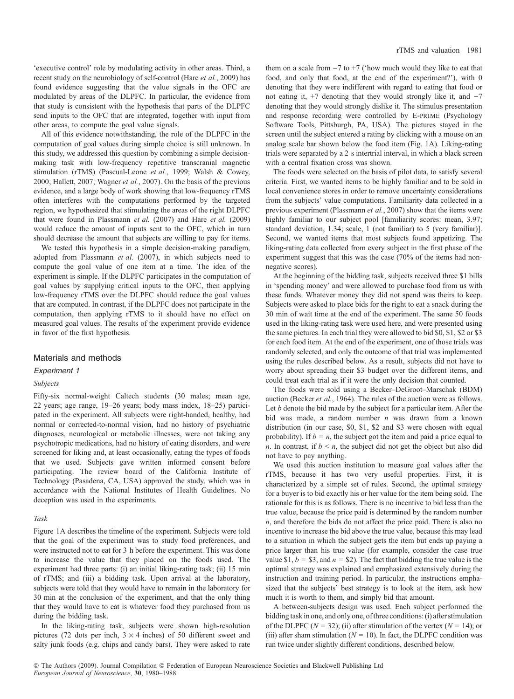'executive control' role by modulating activity in other areas. Third, a recent study on the neurobiology of self-control (Hare et al., 2009) has found evidence suggesting that the value signals in the OFC are modulated by areas of the DLPFC. In particular, the evidence from that study is consistent with the hypothesis that parts of the DLPFC send inputs to the OFC that are integrated, together with input from other areas, to compute the goal value signals.

All of this evidence notwithstanding, the role of the DLPFC in the computation of goal values during simple choice is still unknown. In this study, we addressed this question by combining a simple decisionmaking task with low-frequency repetitive transcranial magnetic stimulation (rTMS) (Pascual-Leone et al., 1999; Walsh & Cowey, 2000; Hallett, 2007; Wagner et al., 2007). On the basis of the previous evidence, and a large body of work showing that low-frequency rTMS often interferes with the computations performed by the targeted region, we hypothesized that stimulating the areas of the right DLPFC that were found in Plassmann et al. (2007) and Hare et al. (2009) would reduce the amount of inputs sent to the OFC, which in turn should decrease the amount that subjects are willing to pay for items.

We tested this hypothesis in a simple decision-making paradigm, adopted from Plassmann et al. (2007), in which subjects need to compute the goal value of one item at a time. The idea of the experiment is simple. If the DLPFC participates in the computation of goal values by supplying critical inputs to the OFC, then applying low-frequency rTMS over the DLPFC should reduce the goal values that are computed. In contrast, if the DLPFC does not participate in the computation, then applying rTMS to it should have no effect on measured goal values. The results of the experiment provide evidence in favor of the first hypothesis.

## Materials and methods

## Experiment 1

### Subjects

Fifty-six normal-weight Caltech students (30 males; mean age, 22 years; age range, 19–26 years; body mass index, 18–25) participated in the experiment. All subjects were right-handed, healthy, had normal or corrected-to-normal vision, had no history of psychiatric diagnoses, neurological or metabolic illnesses, were not taking any psychotropic medications, had no history of eating disorders, and were screened for liking and, at least occasionally, eating the types of foods that we used. Subjects gave written informed consent before participating. The review board of the California Institute of Technology (Pasadena, CA, USA) approved the study, which was in accordance with the National Institutes of Health Guidelines. No deception was used in the experiments.

#### Task

Figure 1A describes the timeline of the experiment. Subjects were told that the goal of the experiment was to study food preferences, and were instructed not to eat for 3 h before the experiment. This was done to increase the value that they placed on the foods used. The experiment had three parts: (i) an initial liking-rating task; (ii) 15 min of rTMS; and (iii) a bidding task. Upon arrival at the laboratory, subjects were told that they would have to remain in the laboratory for 30 min at the conclusion of the experiment, and that the only thing that they would have to eat is whatever food they purchased from us during the bidding task.

In the liking-rating task, subjects were shown high-resolution pictures (72 dots per inch,  $3 \times 4$  inches) of 50 different sweet and salty junk foods (e.g. chips and candy bars). They were asked to rate them on a scale from  $-7$  to  $+7$  ('how much would they like to eat that food, and only that food, at the end of the experiment?'), with 0 denoting that they were indifferent with regard to eating that food or not eating it,  $+7$  denoting that they would strongly like it, and  $-7$ denoting that they would strongly dislike it. The stimulus presentation and response recording were controlled by E-prime (Psychology Software Tools, Pittsburgh, PA, USA). The pictures stayed in the screen until the subject entered a rating by clicking with a mouse on an analog scale bar shown below the food item (Fig. 1A). Liking-rating trials were separated by a 2 s intertrial interval, in which a black screen with a central fixation cross was shown.

The foods were selected on the basis of pilot data, to satisfy several criteria. First, we wanted items to be highly familiar and to be sold in local convenience stores in order to remove uncertainty considerations from the subjects' value computations. Familiarity data collected in a previous experiment (Plassmann et al., 2007) show that the items were highly familiar to our subject pool [familiarity scores: mean, 3.97; standard deviation, 1.34; scale, 1 (not familiar) to 5 (very familiar)]. Second, we wanted items that most subjects found appetizing. The liking-rating data collected from every subject in the first phase of the experiment suggest that this was the case (70% of the items had nonnegative scores).

At the beginning of the bidding task, subjects received three \$1 bills in 'spending money' and were allowed to purchase food from us with these funds. Whatever money they did not spend was theirs to keep. Subjects were asked to place bids for the right to eat a snack during the 30 min of wait time at the end of the experiment. The same 50 foods used in the liking-rating task were used here, and were presented using the same pictures. In each trial they were allowed to bid \$0, \$1, \$2 or \$3 for each food item. At the end of the experiment, one of those trials was randomly selected, and only the outcome of that trial was implemented using the rules described below. As a result, subjects did not have to worry about spreading their \$3 budget over the different items, and could treat each trial as if it were the only decision that counted.

The foods were sold using a Becker–DeGroot–Marschak (BDM) auction (Becker et al., 1964). The rules of the auction were as follows. Let  $b$  denote the bid made by the subject for a particular item. After the bid was made, a random number  $n$  was drawn from a known distribution (in our case, \$0, \$1, \$2 and \$3 were chosen with equal probability). If  $b = n$ , the subject got the item and paid a price equal to n. In contrast, if  $b \le n$ , the subject did not get the object but also did not have to pay anything.

We used this auction institution to measure goal values after the rTMS, because it has two very useful properties. First, it is characterized by a simple set of rules. Second, the optimal strategy for a buyer is to bid exactly his or her value for the item being sold. The rationale for this is as follows. There is no incentive to bid less than the true value, because the price paid is determined by the random number  $n$ , and therefore the bids do not affect the price paid. There is also no incentive to increase the bid above the true value, because this may lead to a situation in which the subject gets the item but ends up paying a price larger than his true value (for example, consider the case true value \$1,  $b = $3$ , and  $n = $2$ ). The fact that bidding the true value is the optimal strategy was explained and emphasized extensively during the instruction and training period. In particular, the instructions emphasized that the subjects' best strategy is to look at the item, ask how much it is worth to them, and simply bid that amount.

A between-subjects design was used. Each subject performed the bidding task in one, and only one, of three conditions: (i) after stimulation of the DLPFC ( $N = 32$ ); (ii) after stimulation of the vertex ( $N = 14$ ); or (iii) after sham stimulation ( $N = 10$ ). In fact, the DLPFC condition was run twice under slightly different conditions, described below.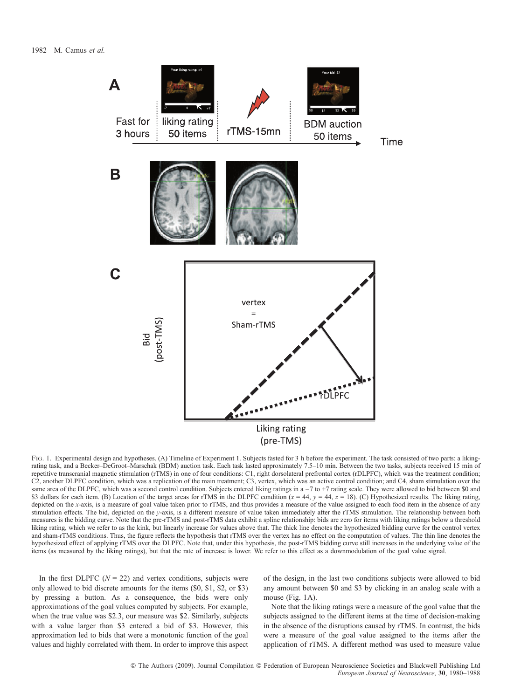

Fig. 1. Experimental design and hypotheses. (A) Timeline of Experiment 1. Subjects fasted for 3 h before the experiment. The task consisted of two parts: a likingrating task, and a Becker–DeGroot–Marschak (BDM) auction task. Each task lasted approximately 7.5–10 min. Between the two tasks, subjects received 15 min of repetitive transcranial magnetic stimulation (rTMS) in one of four conditions: C1, right dorsolateral prefrontal cortex (rDLPFC), which was the treatment condition; C2, another DLPFC condition, which was a replication of the main treatment; C3, vertex, which was an active control condition; and C4, sham stimulation over the same area of the DLPFC, which was a second control condition. Subjects entered liking ratings in a  $-7$  to  $+7$  rating scale. They were allowed to bid between \$0 and \$3 dollars for each item. (B) Location of the target areas for rTMS in the DLPFC condition  $(x = 44, y = 44, z = 18)$ . (C) Hypothesized results. The liking rating, depicted on the x-axis, is a measure of goal value taken prior to rTMS, and thus provides a measure of the value assigned to each food item in the absence of any stimulation effects. The bid, depicted on the y-axis, is a different measure of value taken immediately after the rTMS stimulation. The relationship between both measures is the bidding curve. Note that the pre-rTMS and post-rTMS data exhibit a spline relationship: bids are zero for items with liking ratings below a threshold liking rating, which we refer to as the kink, but linearly increase for values above that. The thick line denotes the hypothesized bidding curve for the control vertex and sham-rTMS conditions. Thus, the figure reflects the hypothesis that rTMS over the vertex has no effect on the computation of values. The thin line denotes the hypothesized effect of applying rTMS over the DLPFC. Note that, under this hypothesis, the post-rTMS bidding curve still increases in the underlying value of the items (as measured by the liking ratings), but that the rate of increase is lower. We refer to this effect as a downmodulation of the goal value signal.

In the first DLPFC ( $N = 22$ ) and vertex conditions, subjects were only allowed to bid discrete amounts for the items (\$0, \$1, \$2, or \$3) by pressing a button. As a consequence, the bids were only approximations of the goal values computed by subjects. For example, when the true value was \$2.3, our measure was \$2. Similarly, subjects with a value larger than \$3 entered a bid of \$3. However, this approximation led to bids that were a monotonic function of the goal values and highly correlated with them. In order to improve this aspect of the design, in the last two conditions subjects were allowed to bid any amount between \$0 and \$3 by clicking in an analog scale with a mouse (Fig. 1A).

Note that the liking ratings were a measure of the goal value that the subjects assigned to the different items at the time of decision-making in the absence of the disruptions caused by rTMS. In contrast, the bids were a measure of the goal value assigned to the items after the application of rTMS. A different method was used to measure value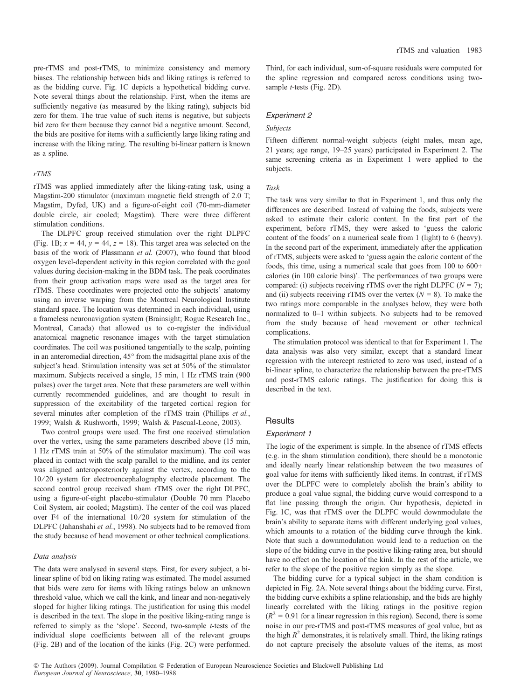pre-rTMS and post-rTMS, to minimize consistency and memory biases. The relationship between bids and liking ratings is referred to as the bidding curve. Fig. 1C depicts a hypothetical bidding curve. Note several things about the relationship. First, when the items are sufficiently negative (as measured by the liking rating), subjects bid zero for them. The true value of such items is negative, but subjects bid zero for them because they cannot bid a negative amount. Second, the bids are positive for items with a sufficiently large liking rating and increase with the liking rating. The resulting bi-linear pattern is known as a spline.

## rTMS

rTMS was applied immediately after the liking-rating task, using a Magstim-200 stimulator (maximum magnetic field strength of 2.0 T; Magstim, Dyfed, UK) and a figure-of-eight coil (70-mm-diameter double circle, air cooled; Magstim). There were three different stimulation conditions.

The DLPFC group received stimulation over the right DLPFC (Fig. 1B;  $x = 44$ ,  $y = 44$ ,  $z = 18$ ). This target area was selected on the basis of the work of Plassmann et al. (2007), who found that blood oxygen level-dependent activity in this region correlated with the goal values during decision-making in the BDM task. The peak coordinates from their group activation maps were used as the target area for rTMS. These coordinates were projected onto the subjects' anatomy using an inverse warping from the Montreal Neurological Institute standard space. The location was determined in each individual, using a frameless neuronavigation system (Brainsight; Rogue Research Inc., Montreal, Canada) that allowed us to co-register the individual anatomical magnetic resonance images with the target stimulation coordinates. The coil was positioned tangentially to the scalp, pointing in an anteromedial direction,  $45^{\circ}$  from the midsagittal plane axis of the subject's head. Stimulation intensity was set at 50% of the stimulator maximum. Subjects received a single, 15 min, 1 Hz rTMS train (900 pulses) over the target area. Note that these parameters are well within currently recommended guidelines, and are thought to result in suppression of the excitability of the targeted cortical region for several minutes after completion of the rTMS train (Phillips et al., 1999; Walsh & Rushworth, 1999; Walsh & Pascual-Leone, 2003).

Two control groups were used. The first one received stimulation over the vertex, using the same parameters described above (15 min, 1 Hz rTMS train at 50% of the stimulator maximum). The coil was placed in contact with the scalp parallel to the midline, and its center was aligned anteroposteriorly against the vertex, according to the 10 ⁄ 20 system for electroencephalography electrode placement. The second control group received sham rTMS over the right DLPFC, using a figure-of-eight placebo-stimulator (Double 70 mm Placebo Coil System, air cooled; Magstim). The center of the coil was placed over F4 of the international  $10/20$  system for stimulation of the DLPFC (Jahanshahi et al., 1998). No subjects had to be removed from the study because of head movement or other technical complications.

## Data analysis

The data were analysed in several steps. First, for every subject, a bilinear spline of bid on liking rating was estimated. The model assumed that bids were zero for items with liking ratings below an unknown threshold value, which we call the kink, and linear and non-negatively sloped for higher liking ratings. The justification for using this model is described in the text. The slope in the positive liking-rating range is referred to simply as the 'slope'. Second, two-sample t-tests of the individual slope coefficients between all of the relevant groups (Fig. 2B) and of the location of the kinks (Fig. 2C) were performed. Third, for each individual, sum-of-square residuals were computed for the spline regression and compared across conditions using twosample *t*-tests (Fig. 2D).

## Experiment 2

## Subjects

Fifteen different normal-weight subjects (eight males, mean age, 21 years; age range, 19–25 years) participated in Experiment 2. The same screening criteria as in Experiment 1 were applied to the subjects.

#### Task

The task was very similar to that in Experiment 1, and thus only the differences are described. Instead of valuing the foods, subjects were asked to estimate their caloric content. In the first part of the experiment, before rTMS, they were asked to 'guess the caloric content of the foods' on a numerical scale from 1 (light) to 6 (heavy). In the second part of the experiment, immediately after the application of rTMS, subjects were asked to 'guess again the caloric content of the foods, this time, using a numerical scale that goes from 100 to 600+ calories (in 100 calorie bins)'. The performances of two groups were compared: (i) subjects receiving rTMS over the right DLPFC ( $N = 7$ ); and (ii) subjects receiving rTMS over the vertex  $(N = 8)$ . To make the two ratings more comparable in the analyses below, they were both normalized to 0–1 within subjects. No subjects had to be removed from the study because of head movement or other technical complications.

The stimulation protocol was identical to that for Experiment 1. The data analysis was also very similar, except that a standard linear regression with the intercept restricted to zero was used, instead of a bi-linear spline, to characterize the relationship between the pre-rTMS and post-rTMS caloric ratings. The justification for doing this is described in the text.

## **Results**

## Experiment 1

The logic of the experiment is simple. In the absence of rTMS effects (e.g. in the sham stimulation condition), there should be a monotonic and ideally nearly linear relationship between the two measures of goal value for items with sufficiently liked items. In contrast, if rTMS over the DLPFC were to completely abolish the brain's ability to produce a goal value signal, the bidding curve would correspond to a flat line passing through the origin. Our hypothesis, depicted in Fig. 1C, was that rTMS over the DLPFC would downmodulate the brain's ability to separate items with different underlying goal values, which amounts to a rotation of the bidding curve through the kink. Note that such a downmodulation would lead to a reduction on the slope of the bidding curve in the positive liking-rating area, but should have no effect on the location of the kink. In the rest of the article, we refer to the slope of the positive region simply as the slope.

The bidding curve for a typical subject in the sham condition is depicted in Fig. 2A. Note several things about the bidding curve. First, the bidding curve exhibits a spline relationship, and the bids are highly linearly correlated with the liking ratings in the positive region  $(R<sup>2</sup> = 0.91$  for a linear regression in this region). Second, there is some noise in our pre-rTMS and post-rTMS measures of goal value, but as the high  $R^2$  demonstrates, it is relatively small. Third, the liking ratings do not capture precisely the absolute values of the items, as most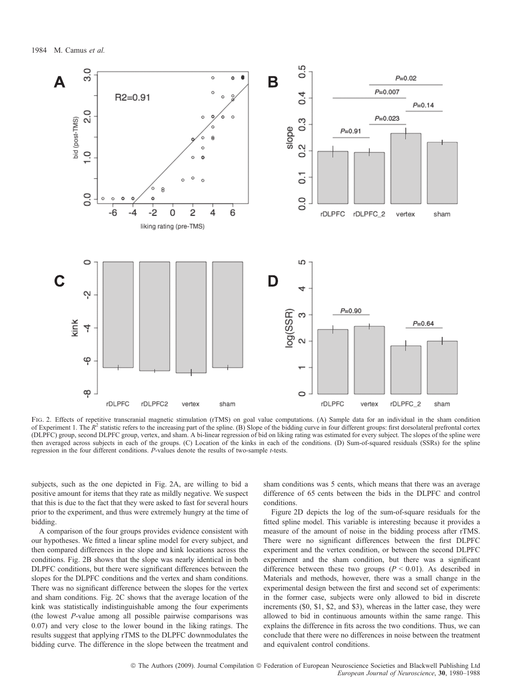

Fig. 2. Effects of repetitive transcranial magnetic stimulation (rTMS) on goal value computations. (A) Sample data for an individual in the sham condition of Experiment 1. The  $R^2$  statistic refers to the increasing part of the spline. (B) Slope of the bidding curve in four different groups: first dorsolateral prefrontal cortex (DLPFC) group, second DLPFC group, vertex, and sham. A bi-linear regression of bid on liking rating was estimated for every subject. The slopes of the spline were then averaged across subjects in each of the groups. (C) Location of the kinks in each of the conditions. (D) Sum-of-squared residuals (SSRs) for the spline regression in the four different conditions. P-values denote the results of two-sample t-tests.

subjects, such as the one depicted in Fig. 2A, are willing to bid a positive amount for items that they rate as mildly negative. We suspect that this is due to the fact that they were asked to fast for several hours prior to the experiment, and thus were extremely hungry at the time of bidding.

A comparison of the four groups provides evidence consistent with our hypotheses. We fitted a linear spline model for every subject, and then compared differences in the slope and kink locations across the conditions. Fig. 2B shows that the slope was nearly identical in both DLPFC conditions, but there were significant differences between the slopes for the DLPFC conditions and the vertex and sham conditions. There was no significant difference between the slopes for the vertex and sham conditions. Fig. 2C shows that the average location of the kink was statistically indistinguishable among the four experiments (the lowest P-value among all possible pairwise comparisons was 0.07) and very close to the lower bound in the liking ratings. The results suggest that applying rTMS to the DLPFC downmodulates the bidding curve. The difference in the slope between the treatment and sham conditions was 5 cents, which means that there was an average difference of 65 cents between the bids in the DLPFC and control conditions.

Figure 2D depicts the log of the sum-of-square residuals for the fitted spline model. This variable is interesting because it provides a measure of the amount of noise in the bidding process after rTMS. There were no significant differences between the first DLPFC experiment and the vertex condition, or between the second DLPFC experiment and the sham condition, but there was a significant difference between these two groups ( $P < 0.01$ ). As described in Materials and methods, however, there was a small change in the experimental design between the first and second set of experiments: in the former case, subjects were only allowed to bid in discrete increments (\$0, \$1, \$2, and \$3), whereas in the latter case, they were allowed to bid in continuous amounts within the same range. This explains the difference in fits across the two conditions. Thus, we can conclude that there were no differences in noise between the treatment and equivalent control conditions.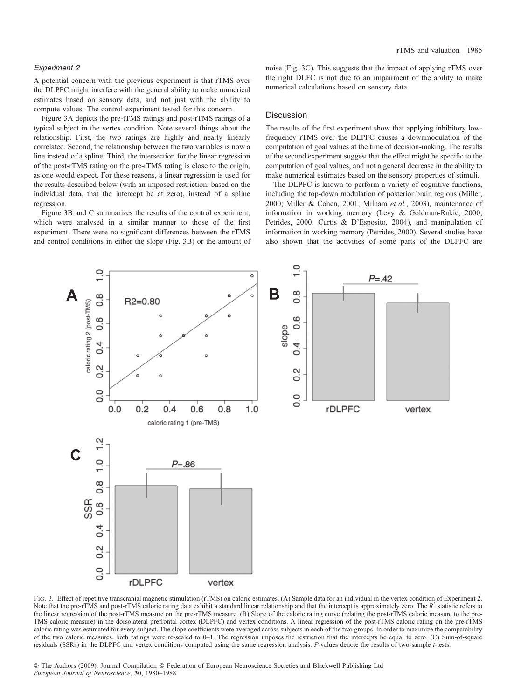## Experiment 2

A potential concern with the previous experiment is that rTMS over the DLPFC might interfere with the general ability to make numerical estimates based on sensory data, and not just with the ability to compute values. The control experiment tested for this concern.

Figure 3A depicts the pre-tTMS ratings and post-rTMS ratings of a typical subject in the vertex condition. Note several things about the relationship. First, the two ratings are highly and nearly linearly correlated. Second, the relationship between the two variables is now a line instead of a spline. Third, the intersection for the linear regression of the post-rTMS rating on the pre-rTMS rating is close to the origin, as one would expect. For these reasons, a linear regression is used for the results described below (with an imposed restriction, based on the individual data, that the intercept be at zero), instead of a spline regression.

Figure 3B and C summarizes the results of the control experiment, which were analysed in a similar manner to those of the first experiment. There were no significant differences between the rTMS and control conditions in either the slope (Fig. 3B) or the amount of noise (Fig. 3C). This suggests that the impact of applying rTMS over the right DLFC is not due to an impairment of the ability to make numerical calculations based on sensory data.

## **Discussion**

The results of the first experiment show that applying inhibitory lowfrequency rTMS over the DLPFC causes a downmodulation of the computation of goal values at the time of decision-making. The results of the second experiment suggest that the effect might be specific to the computation of goal values, and not a general decrease in the ability to make numerical estimates based on the sensory properties of stimuli.

The DLPFC is known to perform a variety of cognitive functions, including the top-down modulation of posterior brain regions (Miller, 2000; Miller & Cohen, 2001; Milham et al., 2003), maintenance of information in working memory (Levy & Goldman-Rakic, 2000; Petrides, 2000; Curtis & D'Esposito, 2004), and manipulation of information in working memory (Petrides, 2000). Several studies have also shown that the activities of some parts of the DLPFC are



FIG. 3. Effect of repetitive transcranial magnetic stimulation (rTMS) on caloric estimates. (A) Sample data for an individual in the vertex condition of Experiment 2. Note that the pre-rTMS and post-rTMS caloric rating data exhibit a standard linear relationship and that the intercept is approximately zero. The  $R^2$  statistic refers to the linear regression of the post-rTMS measure on the pre-rTMS measure. (B) Slope of the caloric rating curve (relating the post-rTMS caloric measure to the pre-TMS caloric measure) in the dorsolateral prefrontal cortex (DLPFC) and vertex conditions. A linear regression of the post-rTMS caloric rating on the pre-rTMS caloric rating was estimated for every subject. The slope coefficients were averaged across subjects in each of the two groups. In order to maximize the comparability of the two caloric measures, both ratings were re-scaled to 0–1. The regression imposes the restriction that the intercepts be equal to zero. (C) Sum-of-square residuals (SSRs) in the DLPFC and vertex conditions computed using the same regression analysis. P-values denote the results of two-sample t-tests.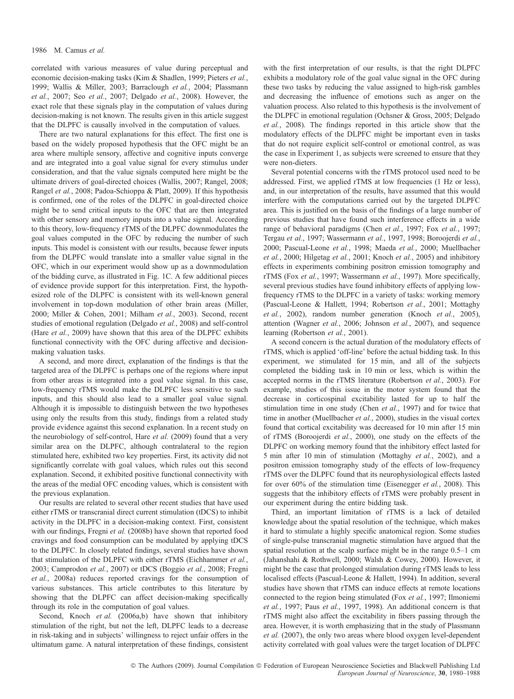#### 1986 M. Camus et al.

correlated with various measures of value during perceptual and economic decision-making tasks (Kim & Shadlen, 1999; Pieters et al., 1999; Wallis & Miller, 2003; Barraclough et al., 2004; Plassmann et al., 2007; Seo et al., 2007; Delgado et al., 2008). However, the exact role that these signals play in the computation of values during decision-making is not known. The results given in this article suggest that the DLPFC is causally involved in the computation of values.

There are two natural explanations for this effect. The first one is based on the widely proposed hypothesis that the OFC might be an area where multiple sensory, affective and cognitive inputs converge and are integrated into a goal value signal for every stimulus under consideration, and that the value signals computed here might be the ultimate drivers of goal-directed choices (Wallis, 2007; Rangel, 2008; Rangel et al., 2008; Padoa-Schioppa & Platt, 2009). If this hypothesis is confirmed, one of the roles of the DLPFC in goal-directed choice might be to send critical inputs to the OFC that are then integrated with other sensory and memory inputs into a value signal. According to this theory, low-frequency rTMS of the DLPFC downmodulates the goal values computed in the OFC by reducing the number of such inputs. This model is consistent with our results, because fewer inputs from the DLPFC would translate into a smaller value signal in the OFC, which in our experiment would show up as a downmodulation of the bidding curve, as illustrated in Fig. 1C. A few additional pieces of evidence provide support for this interpretation. First, the hypothesized role of the DLPFC is consistent with its well-known general involvement in top-down modulation of other brain areas (Miller, 2000; Miller & Cohen, 2001; Milham et al., 2003). Second, recent studies of emotional regulation (Delgado et al., 2008) and self-control (Hare *et al.*, 2009) have shown that this area of the DLPFC exhibits functional connectivity with the OFC during affective and decisionmaking valuation tasks.

A second, and more direct, explanation of the findings is that the targeted area of the DLPFC is perhaps one of the regions where input from other areas is integrated into a goal value signal. In this case, low-frequency rTMS would make the DLPFC less sensitive to such inputs, and this should also lead to a smaller goal value signal. Although it is impossible to distinguish between the two hypotheses using only the results from this study, findings from a related study provide evidence against this second explanation. In a recent study on the neurobiology of self-control, Hare et al. (2009) found that a very similar area on the DLPFC, although contralateral to the region stimulated here, exhibited two key properties. First, its activity did not significantly correlate with goal values, which rules out this second explanation. Second, it exhibited positive functional connectivity with the areas of the medial OFC encoding values, which is consistent with the previous explanation.

Our results are related to several other recent studies that have used either rTMS or transcranial direct current stimulation (tDCS) to inhibit activity in the DLPFC in a decision-making context. First, consistent with our findings, Fregni *et al.* (2008b) have shown that reported food cravings and food consumption can be modulated by applying tDCS to the DLPFC. In closely related findings, several studies have shown that stimulation of the DLPFC with either rTMS (Eichhammer et al., 2003; Camprodon et al., 2007) or tDCS (Boggio et al., 2008; Fregni et al., 2008a) reduces reported cravings for the consumption of various substances. This article contributes to this literature by showing that the DLPFC can affect decision-making specifically through its role in the computation of goal values.

Second, Knoch et al. (2006a,b) have shown that inhibitory stimulation of the right, but not the left, DLPFC leads to a decrease in risk-taking and in subjects' willingness to reject unfair offers in the ultimatum game. A natural interpretation of these findings, consistent with the first interpretation of our results, is that the right DLPFC exhibits a modulatory role of the goal value signal in the OFC during these two tasks by reducing the value assigned to high-risk gambles and decreasing the influence of emotions such as anger on the valuation process. Also related to this hypothesis is the involvement of the DLPFC in emotional regulation (Ochsner & Gross, 2005; Delgado et al., 2008). The findings reported in this article show that the modulatory effects of the DLPFC might be important even in tasks that do not require explicit self-control or emotional control, as was the case in Experiment 1, as subjects were screened to ensure that they were non-dieters.

Several potential concerns with the rTMS protocol used need to be addressed. First, we applied rTMS at low frequencies (1 Hz or less), and, in our interpretation of the results, have assumed that this would interfere with the computations carried out by the targeted DLPFC area. This is justified on the basis of the findings of a large number of previous studies that have found such interference effects in a wide range of behavioral paradigms (Chen et al., 1997; Fox et al., 1997; Tergau et al., 1997; Wassermann et al., 1997, 1998; Boroojerdi et al., 2000; Pascual-Leone et al., 1998; Maeda et al., 2000; Muellbacher et al., 2000; Hilgetag et al., 2001; Knoch et al., 2005) and inhibitory effects in experiments combining positron emission tomography and rTMS (Fox et al., 1997; Wassermann et al., 1997). More specifically, several previous studies have found inhibitory effects of applying lowfrequency rTMS to the DLPFC in a variety of tasks: working memory (Pascual-Leone & Hallett, 1994; Robertson et al., 2001; Mottaghy et al., 2002), random number generation (Knoch et al., 2005), attention (Wagner et al., 2006; Johnson et al., 2007), and sequence learning (Robertson et al., 2001).

A second concern is the actual duration of the modulatory effects of rTMS, which is applied 'off-line' before the actual bidding task. In this experiment, we stimulated for 15 min, and all of the subjects completed the bidding task in 10 min or less, which is within the accepted norms in the rTMS literature (Robertson et al., 2003). For example, studies of this issue in the motor system found that the decrease in corticospinal excitability lasted for up to half the stimulation time in one study (Chen et al., 1997) and for twice that time in another (Muellbacher et al., 2000), studies in the visual cortex found that cortical excitability was decreased for 10 min after 15 min of rTMS (Boroojerdi et al., 2000), one study on the effects of the DLPFC on working memory found that the inhibitory effect lasted for 5 min after 10 min of stimulation (Mottaghy et al., 2002), and a positron emission tomography study of the effects of low-frequency rTMS over the DLPFC found that its neurophysiological effects lasted for over 60% of the stimulation time (Eisenegger et al., 2008). This suggests that the inhibitory effects of rTMS were probably present in our experiment during the entire bidding task.

Third, an important limitation of rTMS is a lack of detailed knowledge about the spatial resolution of the technique, which makes it hard to stimulate a highly specific anatomical region. Some studies of single-pulse transcranial magnetic stimulation have argued that the spatial resolution at the scalp surface might be in the range 0.5–1 cm (Jahanshahi & Rothwell, 2000; Walsh & Cowey, 2000). However, it might be the case that prolonged stimulation during rTMS leads to less localised effects (Pascual-Leone & Hallett, 1994). In addition, several studies have shown that rTMS can induce effects at remote locations connected to the region being stimulated (Fox et al., 1997; Ilmoniemi et al., 1997; Paus et al., 1997, 1998). An additional concern is that rTMS might also affect the excitability in fibers passing through the area. However, it is worth emphasizing that in the study of Plassmann et al. (2007), the only two areas where blood oxygen level-dependent activity correlated with goal values were the target location of DLPFC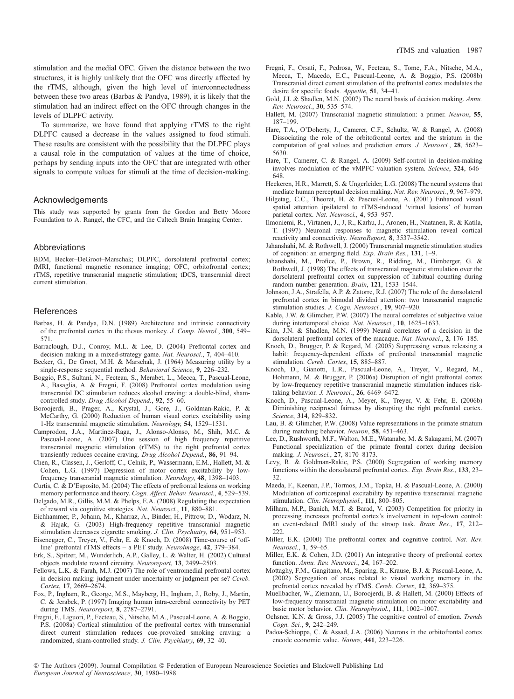stimulation and the medial OFC. Given the distance between the two structures, it is highly unlikely that the OFC was directly affected by the rTMS, although, given the high level of interconnectedness between these two areas (Barbas & Pandya, 1989), it is likely that the stimulation had an indirect effect on the OFC through changes in the levels of DLPFC activity.

To summarize, we have found that applying rTMS to the right DLPFC caused a decrease in the values assigned to food stimuli. These results are consistent with the possibility that the DLPFC plays a causal role in the computation of values at the time of choice, perhaps by sending inputs into the OFC that are integrated with other signals to compute values for stimuli at the time of decision-making.

## Acknowledgements

This study was supported by grants from the Gordon and Betty Moore Foundation to A. Rangel, the CFC, and the Caltech Brain Imaging Center.

## Abbreviations

BDM, Becker–DeGroot–Marschak; DLPFC, dorsolateral prefrontal cortex; fMRI, functional magnetic resonance imaging; OFC, orbitofrontal cortex; rTMS, repetitive transcranial magnetic stimulation; tDCS, transcranial direct current stimulation.

#### **References**

- Barbas, H. & Pandya, D.N. (1989) Architecture and intrinsic connectivity of the prefrontal cortex in the rhesus monkey. J. Comp. Neurol., 300, 549– 571.
- Barraclough, D.J., Conroy, M.L. & Lee, D. (2004) Prefrontal cortex and decision making in a mixed-strategy game. Nat. Neurosci., 7, 404–410.
- Becker, G., De Groot, M.H. & Marschak, J. (1964) Measuring utility by a single-response sequential method. Behavioral Science, 9, 226–232.
- Boggio, P.S., Sultani, N., Fecteau, S., Merabet, L., Mecca, T., Pascual-Leone, A., Basaglia, A. & Fregni, F. (2008) Prefrontal cortex modulation using transcranial DC stimulation reduces alcohol craving: a double-blind, shamcontrolled study. Drug Alcohol Depend., 92, 55–60.
- Boroojerdi, B., Prager, A., Krystal, J., Gore, J., Goldman-Rakic, P. & McCarthy, G. (2000) Reduction of human visual cortex excitability using 1-Hz transcranial magnetic stimulation. Neurology, 54, 1529–1531.
- Camprodon, J.A., Martinez-Raga, J., Alonso-Alonso, M., Shih, M.C. & Pascual-Leone, A. (2007) One session of high frequency repetitive transcranial magnetic stimulation (rTMS) to the right prefrontal cortex transiently reduces cocaine craving. Drug Alcohol Depend., 86, 91–94.
- Chen, R., Classen, J., Gerloff, C., Celnik, P., Wassermann, E.M., Hallett, M. & Cohen, L.G. (1997) Depression of motor cortex excitability by lowfrequency transcranial magnetic stimulation. Neurology, 48, 1398–1403.
- Curtis, C. & D'Esposito, M. (2004) The effects of prefrontal lesions on working memory performance and theory. Cogn. Affect. Behav. Neurosci., 4, 529–539.
- Delgado, M.R., Gillis, M.M. & Phelps, E.A. (2008) Regulating the expectation of reward via cognitive strategies. Nat. Neurosci., 11, 880–881.
- Eichhammer, P., Johann, M., Kharraz, A., Binder, H., Pittrow, D., Wodarz, N. & Hajak, G. (2003) High-frequency repetitive transcranial magnetic stimulation decreases cigarette smoking. J. Clin. Psychiatry, 64, 951–953.
- Eisenegger, C., Treyer, V., Fehr, E. & Knoch, D. (2008) Time-course of 'offline' prefrontal rTMS effects – a PET study. Neuroimage, 42, 379–384.
- Erk, S., Spitzer, M., Wunderlich, A.P., Galley, L. & Walter, H. (2002) Cultural objects modulate reward circuitry. Neuroreport, 13, 2499–2503.
- Fellows, L.K. & Farah, M.J. (2007) The role of ventromedial prefrontal cortex in decision making: judgment under uncertainty or judgment per se? Cereb. Cortex, 17, 2669–2674.
- Fox, P., Ingham, R., George, M.S., Mayberg, H., Ingham, J., Roby, J., Martin, C. & Jerabek, P. (1997) Imaging human intra-cerebral connectivity by PET during TMS. Neuroreport, 8, 2787–2791.
- Fregni, F., Liguori, P., Fecteau, S., Nitsche, M.A., Pascual-Leone, A. & Boggio, P.S. (2008a) Cortical stimulation of the prefrontal cortex with transcranial direct current stimulation reduces cue-provoked smoking craving: a randomized, sham-controlled study. J. Clin. Psychiatry, 69, 32–40.
- Fregni, F., Orsati, F., Pedrosa, W., Fecteau, S., Tome, F.A., Nitsche, M.A., Mecca, T., Macedo, E.C., Pascual-Leone, A. & Boggio, P.S. (2008b) Transcranial direct current stimulation of the prefrontal cortex modulates the desire for specific foods. Appetite, 51, 34–41.
- Gold, J.I. & Shadlen, M.N. (2007) The neural basis of decision making. Annu. Rev. Neurosci., 30, 535–574.
- Hallett, M. (2007) Transcranial magnetic stimulation: a primer. Neuron, 55, 187–199.
- Hare, T.A., O'Doherty, J., Camerer, C.F., Schultz, W. & Rangel, A. (2008) Dissociating the role of the orbitofrontal cortex and the striatum in the computation of goal values and prediction errors. J. Neurosci., 28, 5623– 5630.
- Hare, T., Camerer, C. & Rangel, A. (2009) Self-control in decision-making involves modulation of the vMPFC valuation system. Science, 324, 646– 648.
- Heekeren, H.R., Marrett, S. & Ungerleider, L.G. (2008) The neural systems that mediate human perceptual decision making. Nat. Rev. Neurosci., 9, 967–979.
- Hilgetag, C.C., Theoret, H. & Pascual-Leone, A. (2001) Enhanced visual spatial attention ipsilateral to rTMS-induced 'virtual lesions' of human parietal cortex. Nat. Neurosci., 4, 953-957.
- Ilmoniemi, R., Virtanen, J., J, R., Karhu, J., Aronen, H., Naatanen, R. & Katila, T. (1997) Neuronal responses to magnetic stimulation reveal cortical reactivity and connectivity. NeuroReport, 8, 3537–3542.
- Jahanshahi, M. & Rothwell, J. (2000) Transcranial magnetic stimulation studies of cognition: an emerging field. Exp. Brain Res., 131, 1–9.
- Jahanshahi, M., Profice, P., Brown, R., Ridding, M., Dirnberger, G. & Rothwell, J. (1998) The effects of transcranial magnetic stimulation over the dorsolateral prefrontal cortex on suppression of habitual counting during random number generation. Brain, 121, 1533–1544.
- Johnson, J.A., Strafella, A.P. & Zatorre, R.J. (2007) The role of the dorsolateral prefrontal cortex in bimodal divided attention: two transcranial magnetic stimulation studies. J. Cogn. Neurosci., 19, 907–920.
- Kable, J.W. & Glimcher, P.W. (2007) The neural correlates of subjective value during intertemporal choice. Nat. Neurosci., 10, 1625-1633.
- Kim, J.N. & Shadlen, M.N. (1999) Neural correlates of a decision in the dorsolateral prefrontal cortex of the macaque. Nat. Neurosci., 2, 176–185.
- Knoch, D., Brugger, P. & Regard, M. (2005) Suppressing versus releasing a habit: frequency-dependent effects of prefrontal transcranial magnetic stimulation. Cereb. Cortex, 15, 885–887.
- Knoch, D., Gianotti, L.R., Pascual-Leone, A., Treyer, V., Regard, M., Hohmann, M. & Brugger, P. (2006a) Disruption of right prefrontal cortex by low-frequency repetitive transcranial magnetic stimulation induces risktaking behavior. J. Neurosci., 26, 6469-6472.
- Knoch, D., Pascual-Leone, A., Meyer, K., Treyer, V. & Fehr, E. (2006b) Diminishing reciprocal fairness by disrupting the right prefrontal cortex. Science, 314, 829–832.
- Lau, B. & Glimcher, P.W. (2008) Value representations in the primate striatum during matching behavior. Neuron, 58, 451–463.
- Lee, D., Rushworth, M.F., Walton, M.E., Watanabe, M. & Sakagami, M. (2007) Functional specialization of the primate frontal cortex during decision making. J. Neurosci., 27, 8170–8173.
- Levy, R. & Goldman-Rakic, P.S. (2000) Segregation of working memory functions within the dorsolateral prefrontal cortex. Exp. Brain Res., 133, 23– 32.
- Maeda, F., Keenan, J.P., Tormos, J.M., Topka, H. & Pascual-Leone, A. (2000) Modulation of corticospinal excitability by repetitive transcranial magnetic stimulation. Clin. Neurophysiol., 111, 800-805.
- Milham, M.P., Banich, M.T. & Barad, V. (2003) Competition for priority in processing increases prefrontal cortex's involvement in top-down control: an event-related fMRI study of the stroop task. Brain Res., 17, 212– 222.
- Miller, E.K. (2000) The prefrontal cortex and cognitive control. Nat. Rev. Neurosci., 1, 59–65.
- Miller, E.K. & Cohen, J.D. (2001) An integrative theory of prefrontal cortex function. Annu. Rev. Neurosci., 24, 167–202.
- Mottaghy, F.M., Gangitano, M., Sparing, R., Krause, B.J. & Pascual-Leone, A. (2002) Segregation of areas related to visual working memory in the prefrontal cortex revealed by rTMS. Cereb. Cortex, 12, 369–375.
- Muellbacher, W., Ziemann, U., Boroojerdi, B. & Hallett, M. (2000) Effects of low-frequency transcranial magnetic stimulation on motor excitability and basic motor behavior. Clin. Neurophysiol., 111, 1002–1007.
- Ochsner, K.N. & Gross, J.J. (2005) The cognitive control of emotion. Trends Cogn. Sci., 9, 242–249.
- Padoa-Schioppa, C. & Assad, J.A. (2006) Neurons in the orbitofrontal cortex encode economic value. Nature, 441, 223–226.